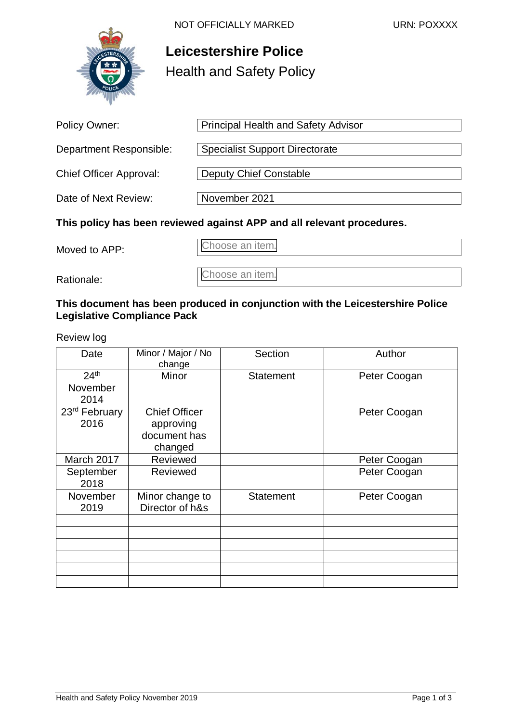

# **Leicestershire Police**  Health and Safety Policy

| <b>Policy Owner:</b>                                                   | <b>Principal Health and Safety Advisor</b> |  |
|------------------------------------------------------------------------|--------------------------------------------|--|
| Department Responsible:                                                | <b>Specialist Support Directorate</b>      |  |
| <b>Chief Officer Approval:</b>                                         | Deputy Chief Constable                     |  |
| Date of Next Review:                                                   | November 2021                              |  |
| This policy has been reviewed against APP and all relevant procedures. |                                            |  |

Moved to APP: Choose an item.

Rationale: Choose an item.

#### **This document has been produced in conjunction with the Leicestershire Police Legislative Compliance Pack**

Review log

| Date                      | Minor / Major / No<br>change | Section          | Author       |
|---------------------------|------------------------------|------------------|--------------|
| 24 <sup>th</sup>          | Minor                        | <b>Statement</b> | Peter Coogan |
| November                  |                              |                  |              |
| 2014                      |                              |                  |              |
| 23 <sup>rd</sup> February | <b>Chief Officer</b>         |                  | Peter Coogan |
| 2016                      | approving                    |                  |              |
|                           | document has                 |                  |              |
|                           | changed                      |                  |              |
| March 2017                | Reviewed                     |                  | Peter Coogan |
| September                 | Reviewed                     |                  | Peter Coogan |
| 2018                      |                              |                  |              |
| November                  | Minor change to              | <b>Statement</b> | Peter Coogan |
| 2019                      | Director of h&s              |                  |              |
|                           |                              |                  |              |
|                           |                              |                  |              |
|                           |                              |                  |              |
|                           |                              |                  |              |
|                           |                              |                  |              |
|                           |                              |                  |              |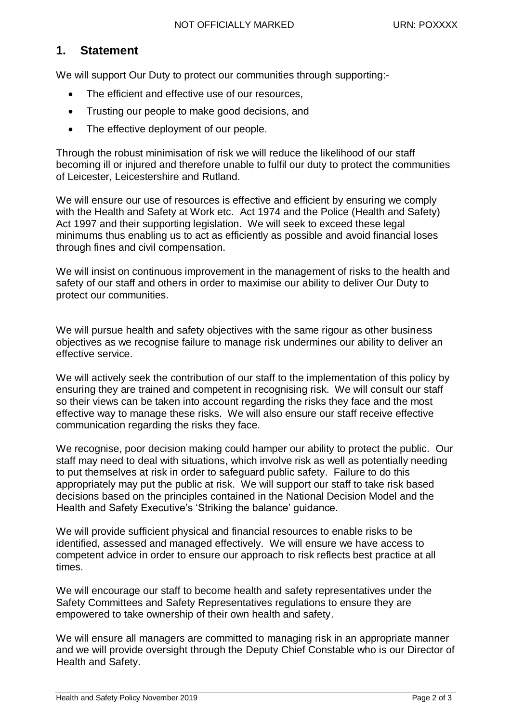#### **1. Statement**

We will support Our Duty to protect our communities through supporting:-

- The efficient and effective use of our resources,
- Trusting our people to make good decisions, and
- The effective deployment of our people.

Through the robust minimisation of risk we will reduce the likelihood of our staff becoming ill or injured and therefore unable to fulfil our duty to protect the communities of Leicester, Leicestershire and Rutland.

We will ensure our use of resources is effective and efficient by ensuring we comply with the Health and Safety at Work etc. Act 1974 and the Police (Health and Safety) Act 1997 and their supporting legislation. We will seek to exceed these legal minimums thus enabling us to act as efficiently as possible and avoid financial loses through fines and civil compensation.

We will insist on continuous improvement in the management of risks to the health and safety of our staff and others in order to maximise our ability to deliver Our Duty to protect our communities.

We will pursue health and safety objectives with the same rigour as other business objectives as we recognise failure to manage risk undermines our ability to deliver an effective service.

We will actively seek the contribution of our staff to the implementation of this policy by ensuring they are trained and competent in recognising risk. We will consult our staff so their views can be taken into account regarding the risks they face and the most effective way to manage these risks. We will also ensure our staff receive effective communication regarding the risks they face.

We recognise, poor decision making could hamper our ability to protect the public. Our staff may need to deal with situations, which involve risk as well as potentially needing to put themselves at risk in order to safeguard public safety. Failure to do this appropriately may put the public at risk. We will support our staff to take risk based decisions based on the principles contained in the National Decision Model and the Health and Safety Executive's 'Striking the balance' guidance.

We will provide sufficient physical and financial resources to enable risks to be identified, assessed and managed effectively. We will ensure we have access to competent advice in order to ensure our approach to risk reflects best practice at all times.

We will encourage our staff to become health and safety representatives under the Safety Committees and Safety Representatives regulations to ensure they are empowered to take ownership of their own health and safety.

We will ensure all managers are committed to managing risk in an appropriate manner and we will provide oversight through the Deputy Chief Constable who is our Director of Health and Safety.